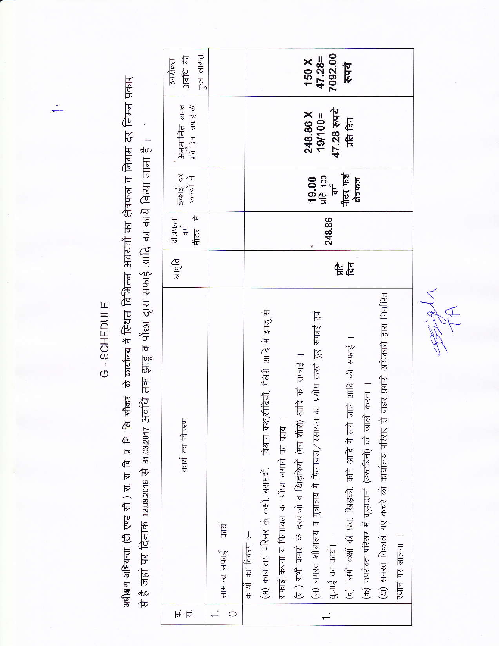अधीक्षण अभियन्ता (टी एण्ड सी ) रा. वि. प्र. वि. सि. सि. सीकर के कार्यालय में स्थियन अवयतों का क्षेत्रफल व निगम दर निम्न प्रकार से है जहां पर दिनांक 12.08.2016 से 31.03.2017 अवधि तक झाडू व पोंछा दृारा सफाई आदि का काये किया जाना है ।

G - SCHEDULE

| 平 | कार्य का विवरण                                                                                                                                                                                                                                                                                                                                                                                                                                                                                                                                                 | आवृति | मीटर मे<br>श्रेत्रफल<br>$\frac{1}{10}$ | इकाई दर<br>रूपयों मे                                 | <b>अनुमानित</b> लागत<br>प्रति दिन सफाई की   | मान लागत<br>अवधि की<br>उपरोक्त         |
|---|----------------------------------------------------------------------------------------------------------------------------------------------------------------------------------------------------------------------------------------------------------------------------------------------------------------------------------------------------------------------------------------------------------------------------------------------------------------------------------------------------------------------------------------------------------------|-------|----------------------------------------|------------------------------------------------------|---------------------------------------------|----------------------------------------|
|   | सामान्य सफाई कार्य                                                                                                                                                                                                                                                                                                                                                                                                                                                                                                                                             |       |                                        |                                                      |                                             |                                        |
|   | बाहर प्रभारी अधिकारी द्वारा निर्धारित<br>(अ) कार्यालय परिसर के कक्षों, बरामदों, विश्राम कक्ष,सीढ़ियाँ, गैलैरी आदि में झाडू से<br>का प्रयोग करते हुए सफाई एवं<br>(द) सभी कक्षों की छत, खिड़की, कोने आदि में लगे जाले आदि की सफाई ।<br>(ब ) सभी कमरों के दरवाजों व खिड़कियों (मय शीशे) आदि की सफाई ।<br>करना ।<br>सफाई करना व फिनायल का पोंछा लगाने का कार्य ।<br>(क) उपरोक्त परिसर में कूड़ादानों (डस्टबिनों) को खाली<br>(ख) समस्त निकाले गए कचरे को कार्यालय परिसर से<br>(स) समस्त शौचालय व मुत्रालय में फिनायल/रसायन<br>कार्यों का विवरण :-<br>धुलाई का कार्य | 售店    | 248.86                                 | मीटर फर्श<br>प्रति 100<br>बर्ग<br>19.00<br>क्षेत्रफल | 47.28 रुपये<br>248.86 X<br>$19/100 =$<br>听官 | 7092.00<br>$47.28 =$<br>150 X<br>रूपये |
|   | स्थान पर डालना                                                                                                                                                                                                                                                                                                                                                                                                                                                                                                                                                 |       |                                        |                                                      |                                             |                                        |
|   |                                                                                                                                                                                                                                                                                                                                                                                                                                                                                                                                                                |       |                                        |                                                      |                                             |                                        |

JENY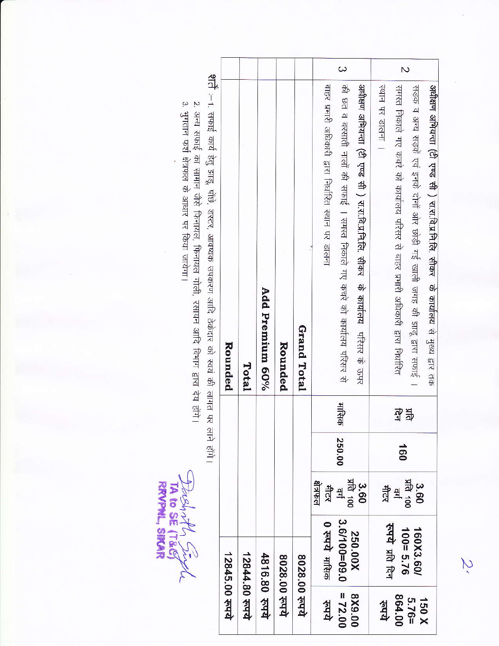|                    | 12845.00 रुपये                  |                           |               |           | Rounded                                                                                                                                                              |          |
|--------------------|---------------------------------|---------------------------|---------------|-----------|----------------------------------------------------------------------------------------------------------------------------------------------------------------------|----------|
|                    | 12844.80 रूपये                  |                           |               |           | Total                                                                                                                                                                |          |
|                    | 4816.80 रुपये                   |                           |               |           | Add Premium 60%                                                                                                                                                      |          |
|                    | 8028.00 रुपये                   |                           |               |           | Rounded                                                                                                                                                              |          |
|                    | 8028.00 रुपये                   |                           |               |           | Grand Total                                                                                                                                                          |          |
| $= 72.00$<br>ज़िल् | 3.6/100=09.0<br>0 रुपये मारिक   | शिकारी<br>मीटर<br>회       | 250.00        | मासिक     | की छत व बरसाती नालों की सफाई । समस्त निकाले गए कचरे को कार्यालय परिसर से<br>बाहर प्रभारी अधिकारी द्वारा निर्धारित स्थान पर डालना                                     | $\omega$ |
| 00'6X8             | 250.00X                         | प्रांत 100<br><b>3.60</b> |               |           | अधीक्षण अभियन्ता (टी एण्ड सी ) रा.श.वि.प्र.नि.सि. सीकर  के कार्यालय  परिसर के ऊपर                                                                                    |          |
| <b>Add</b>         |                                 |                           |               |           | रथान पर डालना ।                                                                                                                                                      |          |
| 864.00<br>$5.76 =$ | रुपये प्रति दिन<br>$100 = 5.76$ | प्रति 100<br>불북           | $\frac{1}{9}$ | ЯR<br>पुन | समस्त निकाले गए कचरे को कार्यालय परिसर से बाहर प्रभारी अधिकारी द्वारा निर्धारित                                                                                      | N        |
| 150 X              | 160X3.60/                       | 3.60                      |               |           | अधीक्षण अभियन्ता (टी एण्ड सी ) रा.श.वि.प्र.नि.लि. सीकर के कार्यालय से मुख्य द्वार तक<br>सड़क व अन्य सड़कें एवं इनके दोनों ओर छोड़ी गई खाली जगह की झाडू द्वारा सफाई । |          |

z. जन्म सभाइ का सामान जस फिनायल, फिनायल गाली, रसायन आदि विभाग द्वारा देय होगे।<br>3. भुगतान फर्श क्षेत्रफल के आधार पर किया जायेगा।

i<br>R

Deep at Surful

N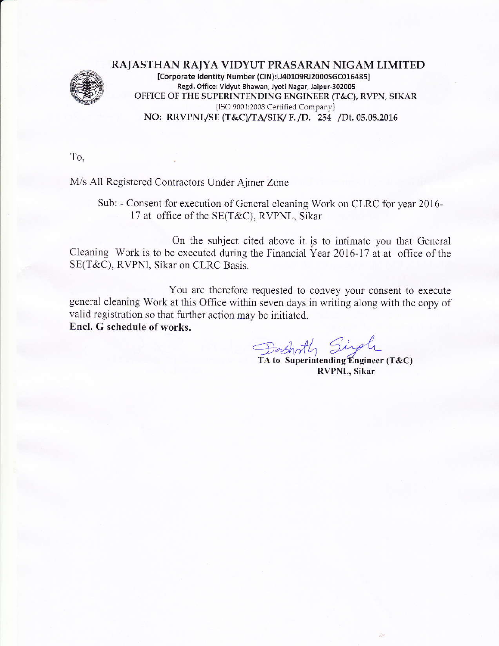

RAJASTHAN RAJYA VIDYUT PRASARAN NIGAM LIMITED [Corporate Identity Number (CIN):U40109RJ2000SGC016485] Regd. Office: Vidyut Bhawan, Jyoti Nagar, Jaipur-302005 OFFICE OF THE SUPERINIENDING ENGINEER (T&C), RVPN, SIKAR {ISO 9001:2008 Certified Company} NO: RRVPNL/SE (T&C)/TA/SIK/ F. /D. 254 /Dt.05.08.2016

To,

M/s All Registered Contractors Under Ajmer Zone

Sub: - Consent for execution of General cleaning Work on CLRC for year 2016- 17 at office of the SE(T&C), RVPNL, Sikar

On the subject cited above it is to intimate you that Geneml Cleaning Work is to be executed during the Financial Year 2016-17 at at office of the SE(T&C), RVPNI, Sikar on CLRC Basis.

You are therefore requested to convey your consent to execute general cleaning Work at this Office within seven days in writing along with the copy of valid registration so that further action may be initiated. Encl. G schedule of works.

Dashoth Singh

TA to Superintending Engineer (T&C) RVPNL, Sikar